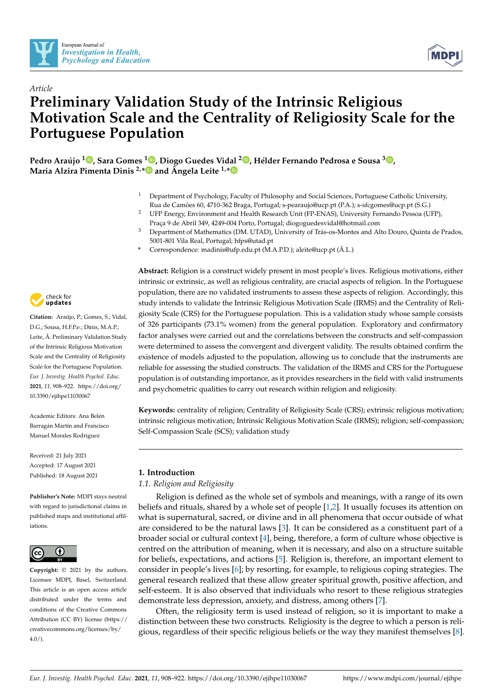



# *Article* **Preliminary Validation Study of the Intrinsic Religious Motivation Scale and the Centrality of Religiosity Scale for the Portuguese Population**

**Pedro Araújo [1](https://orcid.org/0000-0002-5645-3944) , Sara Gomes <sup>1</sup> [,](https://orcid.org/0000-0001-6405-9958) Diogo Guedes Vidal <sup>2</sup> [,](https://orcid.org/0000-0002-2777-2372) Hélder Fernando Pedrosa e Sousa <sup>3</sup> [,](https://orcid.org/0000-0002-2952-8859) Maria Alzira Pimenta Dinis 2,[\\*](https://orcid.org/0000-0002-2198-6740) and Ângela Leite 1,[\\*](https://orcid.org/0000-0003-0560-1756)**

- <sup>1</sup> Department of Psychology, Faculty of Philosophy and Social Sciences, Portuguese Catholic University, Rua de Camões 60, 4710-362 Braga, Portugal; s-pearaujo@ucp.pt (P.A.); s-sfcgomes@ucp.pt (S.G.)
- <sup>2</sup> UFP Energy, Environment and Health Research Unit (FP-ENAS), University Fernando Pessoa (UFP), Praça 9 de Abril 349, 4249-004 Porto, Portugal; diogoguedesvidal@hotmail.com
- <sup>3</sup> Department of Mathematics (DM. UTAD), University of Trás-os-Montes and Alto Douro, Quinta de Prados, 5001-801 Vila Real, Portugal; hfps@utad.pt
- **\*** Correspondence: madinis@ufp.edu.pt (M.A.P.D.); aleite@ucp.pt (Â.L.)

check for **-**

**Citation:** Araújo, P.; Gomes, S.; Vidal, D.G.; Sousa, H.F.P.e.; Dinis, M.A.P.; Leite, Â. Preliminary Validation Study of the Intrinsic Religious Motivation Scale and the Centrality of Religiosity Scale for the Portuguese Population. *Eur. J. Investig. Health Psychol. Educ.* **2021**, *11*, 908–922. [https://doi.org/](https://doi.org/10.3390/ejihpe11030067) [10.3390/ejihpe11030067](https://doi.org/10.3390/ejihpe11030067)

Academic Editors: Ana Belén Barragán Martín and Francisco Manuel Morales Rodríguez

Received: 21 July 2021 Accepted: 17 August 2021 Published: 18 August 2021

**Publisher's Note:** MDPI stays neutral with regard to jurisdictional claims in published maps and institutional affiliations.



**Copyright:** © 2021 by the authors. Licensee MDPI, Basel, Switzerland. This article is an open access article distributed under the terms and conditions of the Creative Commons Attribution (CC BY) license (https:/[/](https://creativecommons.org/licenses/by/4.0/) [creativecommons.org/licenses/by/](https://creativecommons.org/licenses/by/4.0/) 4.0/).

**Abstract:** Religion is a construct widely present in most people's lives. Religious motivations, either intrinsic or extrinsic, as well as religious centrality, are crucial aspects of religion. In the Portuguese population, there are no validated instruments to assess these aspects of religion. Accordingly, this study intends to validate the Intrinsic Religious Motivation Scale (IRMS) and the Centrality of Religiosity Scale (CRS) for the Portuguese population. This is a validation study whose sample consists of 326 participants (73.1% women) from the general population. Exploratory and confirmatory factor analyses were carried out and the correlations between the constructs and self-compassion were determined to assess the convergent and divergent validity. The results obtained confirm the existence of models adjusted to the population, allowing us to conclude that the instruments are reliable for assessing the studied constructs. The validation of the IRMS and CRS for the Portuguese population is of outstanding importance, as it provides researchers in the field with valid instruments and psychometric qualities to carry out research within religion and religiosity.

**Keywords:** centrality of religion; Centrality of Religiosity Scale (CRS); extrinsic religious motivation; intrinsic religious motivation; Intrinsic Religious Motivation Scale (IRMS); religion; self-compassion; Self-Compassion Scale (SCS); validation study

## **1. Introduction**

## *1.1. Religion and Religiosity*

Religion is defined as the whole set of symbols and meanings, with a range of its own beliefs and rituals, shared by a whole set of people [\[1](#page-12-0)[,2\]](#page-12-1). It usually focuses its attention on what is supernatural, sacred, or divine and in all phenomena that occur outside of what are considered to be the natural laws [\[3\]](#page-12-2). It can be considered as a constituent part of a broader social or cultural context [\[4\]](#page-12-3), being, therefore, a form of culture whose objective is centred on the attribution of meaning, when it is necessary, and also on a structure suitable for beliefs, expectations, and actions [\[5\]](#page-12-4). Religion is, therefore, an important element to consider in people's lives [\[6\]](#page-12-5); by resorting, for example, to religious coping strategies. The general research realized that these allow greater spiritual growth, positive affection, and self-esteem. It is also observed that individuals who resort to these religious strategies demonstrate less depression, anxiety, and distress, among others [\[7\]](#page-12-6).

Often, the religiosity term is used instead of religion, so it is important to make a distinction between these two constructs. Religiosity is the degree to which a person is religious, regardless of their specific religious beliefs or the way they manifest themselves [\[8\]](#page-12-7).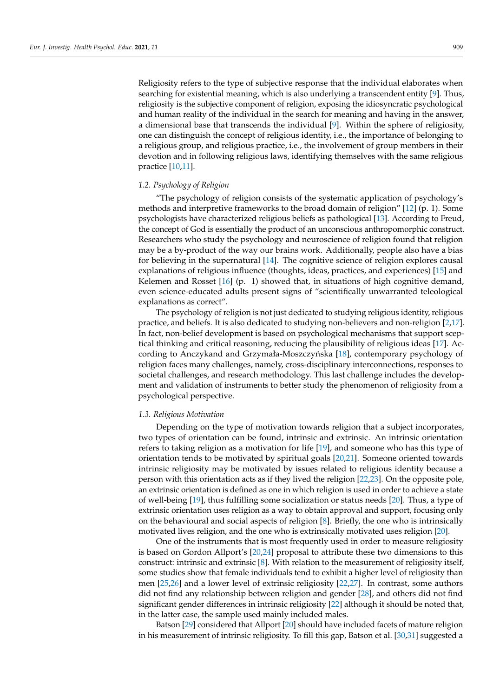Religiosity refers to the type of subjective response that the individual elaborates when searching for existential meaning, which is also underlying a transcendent entity [\[9\]](#page-12-8). Thus, religiosity is the subjective component of religion, exposing the idiosyncratic psychological and human reality of the individual in the search for meaning and having in the answer, a dimensional base that transcends the individual [\[9\]](#page-12-8). Within the sphere of religiosity, one can distinguish the concept of religious identity, i.e., the importance of belonging to a religious group, and religious practice, i.e., the involvement of group members in their devotion and in following religious laws, identifying themselves with the same religious practice [\[10](#page-12-9)[,11\]](#page-12-10).

#### *1.2. Psychology of Religion*

"The psychology of religion consists of the systematic application of psychology's methods and interpretive frameworks to the broad domain of religion" [\[12\]](#page-12-11) (p. 1). Some psychologists have characterized religious beliefs as pathological [\[13\]](#page-12-12). According to Freud, the concept of God is essentially the product of an unconscious anthropomorphic construct. Researchers who study the psychology and neuroscience of religion found that religion may be a by-product of the way our brains work. Additionally, people also have a bias for believing in the supernatural [\[14\]](#page-12-13). The cognitive science of religion explores causal explanations of religious influence (thoughts, ideas, practices, and experiences) [\[15\]](#page-12-14) and Kelemen and Rosset  $[16]$  (p. 1) showed that, in situations of high cognitive demand, even science-educated adults present signs of "scientifically unwarranted teleological explanations as correct".

The psychology of religion is not just dedicated to studying religious identity, religious practice, and beliefs. It is also dedicated to studying non-believers and non-religion [\[2](#page-12-1)[,17\]](#page-12-16). In fact, non-belief development is based on psychological mechanisms that support sceptical thinking and critical reasoning, reducing the plausibility of religious ideas [\[17\]](#page-12-16). Ac-cording to Anczykand and Grzymała-Moszczyńska [\[18\]](#page-12-17), contemporary psychology of religion faces many challenges, namely, cross-disciplinary interconnections, responses to societal challenges, and research methodology. This last challenge includes the development and validation of instruments to better study the phenomenon of religiosity from a psychological perspective.

#### *1.3. Religious Motivation*

Depending on the type of motivation towards religion that a subject incorporates, two types of orientation can be found, intrinsic and extrinsic. An intrinsic orientation refers to taking religion as a motivation for life [\[19\]](#page-12-18), and someone who has this type of orientation tends to be motivated by spiritual goals [\[20](#page-12-19)[,21\]](#page-12-20). Someone oriented towards intrinsic religiosity may be motivated by issues related to religious identity because a person with this orientation acts as if they lived the religion [\[22,](#page-12-21)[23\]](#page-12-22). On the opposite pole, an extrinsic orientation is defined as one in which religion is used in order to achieve a state of well-being [\[19\]](#page-12-18), thus fulfilling some socialization or status needs [\[20\]](#page-12-19). Thus, a type of extrinsic orientation uses religion as a way to obtain approval and support, focusing only on the behavioural and social aspects of religion [\[8\]](#page-12-7). Briefly, the one who is intrinsically motivated lives religion, and the one who is extrinsically motivated uses religion [\[20\]](#page-12-19).

One of the instruments that is most frequently used in order to measure religiosity is based on Gordon Allport's [\[20](#page-12-19)[,24\]](#page-13-0) proposal to attribute these two dimensions to this construct: intrinsic and extrinsic [\[8\]](#page-12-7). With relation to the measurement of religiosity itself, some studies show that female individuals tend to exhibit a higher level of religiosity than men [\[25,](#page-13-1)[26\]](#page-13-2) and a lower level of extrinsic religiosity [\[22,](#page-12-21)[27\]](#page-13-3). In contrast, some authors did not find any relationship between religion and gender [\[28\]](#page-13-4), and others did not find significant gender differences in intrinsic religiosity [\[22\]](#page-12-21) although it should be noted that, in the latter case, the sample used mainly included males.

Batson [\[29\]](#page-13-5) considered that Allport [\[20\]](#page-12-19) should have included facets of mature religion in his measurement of intrinsic religiosity. To fill this gap, Batson et al. [\[30](#page-13-6)[,31\]](#page-13-7) suggested a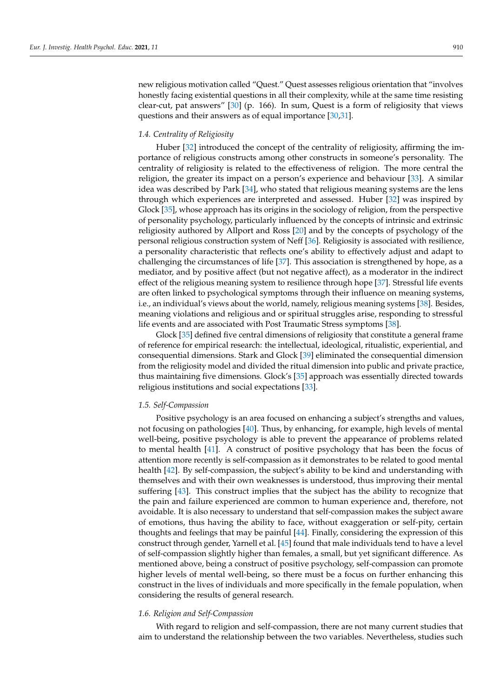new religious motivation called "Quest." Quest assesses religious orientation that "involves honestly facing existential questions in all their complexity, while at the same time resisting clear-cut, pat answers"  $[30]$  (p. 166). In sum, Quest is a form of religiosity that views questions and their answers as of equal importance [\[30,](#page-13-6)[31\]](#page-13-7).

#### *1.4. Centrality of Religiosity*

Huber [\[32\]](#page-13-8) introduced the concept of the centrality of religiosity, affirming the importance of religious constructs among other constructs in someone's personality. The centrality of religiosity is related to the effectiveness of religion. The more central the religion, the greater its impact on a person's experience and behaviour [\[33\]](#page-13-9). A similar idea was described by Park [\[34\]](#page-13-10), who stated that religious meaning systems are the lens through which experiences are interpreted and assessed. Huber [\[32\]](#page-13-8) was inspired by Glock [\[35\]](#page-13-11), whose approach has its origins in the sociology of religion, from the perspective of personality psychology, particularly influenced by the concepts of intrinsic and extrinsic religiosity authored by Allport and Ross [\[20\]](#page-12-19) and by the concepts of psychology of the personal religious construction system of Neff [\[36\]](#page-13-12). Religiosity is associated with resilience, a personality characteristic that reflects one's ability to effectively adjust and adapt to challenging the circumstances of life [\[37\]](#page-13-13). This association is strengthened by hope, as a mediator, and by positive affect (but not negative affect), as a moderator in the indirect effect of the religious meaning system to resilience through hope [\[37\]](#page-13-13). Stressful life events are often linked to psychological symptoms through their influence on meaning systems, i.e., an individual's views about the world, namely, religious meaning systems [\[38\]](#page-13-14). Besides, meaning violations and religious and or spiritual struggles arise, responding to stressful life events and are associated with Post Traumatic Stress symptoms [\[38\]](#page-13-14).

Glock [\[35\]](#page-13-11) defined five central dimensions of religiosity that constitute a general frame of reference for empirical research: the intellectual, ideological, ritualistic, experiential, and consequential dimensions. Stark and Glock [\[39\]](#page-13-15) eliminated the consequential dimension from the religiosity model and divided the ritual dimension into public and private practice, thus maintaining five dimensions. Glock's [\[35\]](#page-13-11) approach was essentially directed towards religious institutions and social expectations [\[33\]](#page-13-9).

#### *1.5. Self-Compassion*

Positive psychology is an area focused on enhancing a subject's strengths and values, not focusing on pathologies [\[40\]](#page-13-16). Thus, by enhancing, for example, high levels of mental well-being, positive psychology is able to prevent the appearance of problems related to mental health [\[41\]](#page-13-17). A construct of positive psychology that has been the focus of attention more recently is self-compassion as it demonstrates to be related to good mental health [\[42\]](#page-13-18). By self-compassion, the subject's ability to be kind and understanding with themselves and with their own weaknesses is understood, thus improving their mental suffering [\[43\]](#page-13-19). This construct implies that the subject has the ability to recognize that the pain and failure experienced are common to human experience and, therefore, not avoidable. It is also necessary to understand that self-compassion makes the subject aware of emotions, thus having the ability to face, without exaggeration or self-pity, certain thoughts and feelings that may be painful [\[44\]](#page-13-20). Finally, considering the expression of this construct through gender, Yarnell et al. [\[45\]](#page-13-21) found that male individuals tend to have a level of self-compassion slightly higher than females, a small, but yet significant difference. As mentioned above, being a construct of positive psychology, self-compassion can promote higher levels of mental well-being, so there must be a focus on further enhancing this construct in the lives of individuals and more specifically in the female population, when considering the results of general research.

#### *1.6. Religion and Self-Compassion*

With regard to religion and self-compassion, there are not many current studies that aim to understand the relationship between the two variables. Nevertheless, studies such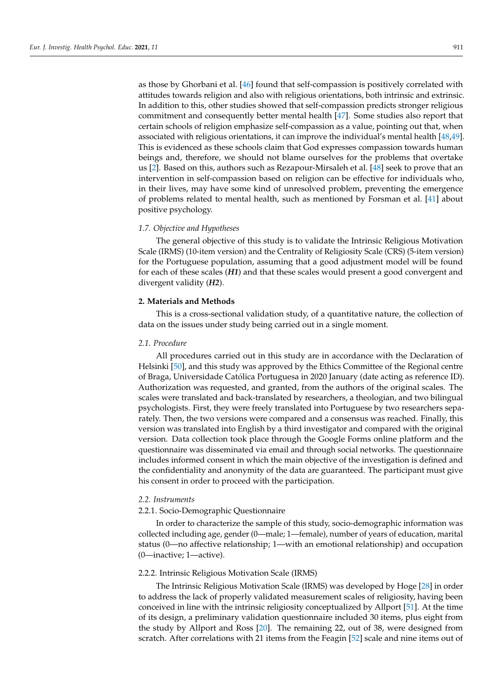as those by Ghorbani et al. [\[46\]](#page-13-22) found that self-compassion is positively correlated with attitudes towards religion and also with religious orientations, both intrinsic and extrinsic. In addition to this, other studies showed that self-compassion predicts stronger religious commitment and consequently better mental health [\[47\]](#page-13-23). Some studies also report that certain schools of religion emphasize self-compassion as a value, pointing out that, when associated with religious orientations, it can improve the individual's mental health [\[48](#page-13-24)[,49\]](#page-13-25). This is evidenced as these schools claim that God expresses compassion towards human beings and, therefore, we should not blame ourselves for the problems that overtake us [\[2\]](#page-12-1). Based on this, authors such as Rezapour-Mirsaleh et al. [\[48\]](#page-13-24) seek to prove that an intervention in self-compassion based on religion can be effective for individuals who, in their lives, may have some kind of unresolved problem, preventing the emergence of problems related to mental health, such as mentioned by Forsman et al. [\[41\]](#page-13-17) about positive psychology.

#### *1.7. Objective and Hypotheses*

The general objective of this study is to validate the Intrinsic Religious Motivation Scale (IRMS) (10-item version) and the Centrality of Religiosity Scale (CRS) (5-item version) for the Portuguese population, assuming that a good adjustment model will be found for each of these scales (*H1*) and that these scales would present a good convergent and divergent validity (*H2*).

#### **2. Materials and Methods**

This is a cross-sectional validation study, of a quantitative nature, the collection of data on the issues under study being carried out in a single moment.

## *2.1. Procedure*

All procedures carried out in this study are in accordance with the Declaration of Helsinki [\[50\]](#page-13-26), and this study was approved by the Ethics Committee of the Regional centre of Braga, Universidade Católica Portuguesa in 2020 January (date acting as reference ID). Authorization was requested, and granted, from the authors of the original scales. The scales were translated and back-translated by researchers, a theologian, and two bilingual psychologists. First, they were freely translated into Portuguese by two researchers separately. Then, the two versions were compared and a consensus was reached. Finally, this version was translated into English by a third investigator and compared with the original version. Data collection took place through the Google Forms online platform and the questionnaire was disseminated via email and through social networks. The questionnaire includes informed consent in which the main objective of the investigation is defined and the confidentiality and anonymity of the data are guaranteed. The participant must give his consent in order to proceed with the participation.

#### *2.2. Instruments*

## 2.2.1. Socio-Demographic Questionnaire

In order to characterize the sample of this study, socio-demographic information was collected including age, gender (0—male; 1—female), number of years of education, marital status (0—no affective relationship; 1—with an emotional relationship) and occupation (0—inactive; 1—active).

## 2.2.2. Intrinsic Religious Motivation Scale (IRMS)

The Intrinsic Religious Motivation Scale (IRMS) was developed by Hoge [\[28\]](#page-13-4) in order to address the lack of properly validated measurement scales of religiosity, having been conceived in line with the intrinsic religiosity conceptualized by Allport [\[51\]](#page-13-27). At the time of its design, a preliminary validation questionnaire included 30 items, plus eight from the study by Allport and Ross [\[20\]](#page-12-19). The remaining 22, out of 38, were designed from scratch. After correlations with 21 items from the Feagin [\[52\]](#page-13-28) scale and nine items out of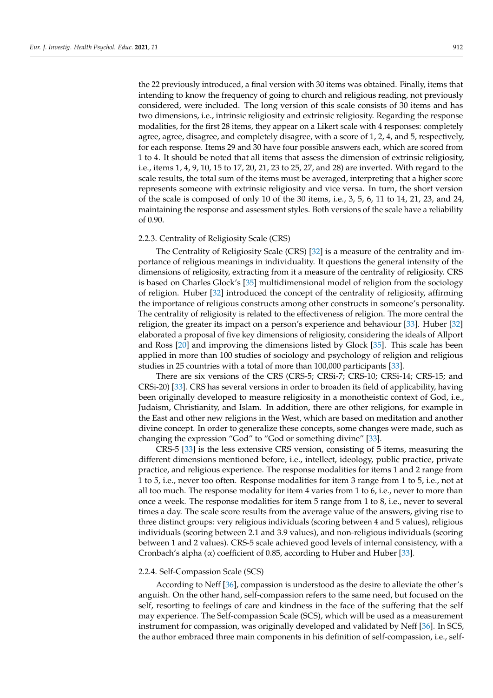the 22 previously introduced, a final version with 30 items was obtained. Finally, items that intending to know the frequency of going to church and religious reading, not previously considered, were included. The long version of this scale consists of 30 items and has two dimensions, i.e., intrinsic religiosity and extrinsic religiosity. Regarding the response modalities, for the first 28 items, they appear on a Likert scale with 4 responses: completely agree, agree, disagree, and completely disagree, with a score of 1, 2, 4, and 5, respectively, for each response. Items 29 and 30 have four possible answers each, which are scored from 1 to 4. It should be noted that all items that assess the dimension of extrinsic religiosity, i.e., items 1, 4, 9, 10, 15 to 17, 20, 21, 23 to 25, 27, and 28) are inverted. With regard to the scale results, the total sum of the items must be averaged, interpreting that a higher score represents someone with extrinsic religiosity and vice versa. In turn, the short version of the scale is composed of only 10 of the 30 items, i.e., 3, 5, 6, 11 to 14, 21, 23, and 24, maintaining the response and assessment styles. Both versions of the scale have a reliability of 0.90.

#### 2.2.3. Centrality of Religiosity Scale (CRS)

The Centrality of Religiosity Scale (CRS) [\[32\]](#page-13-8) is a measure of the centrality and importance of religious meanings in individuality. It questions the general intensity of the dimensions of religiosity, extracting from it a measure of the centrality of religiosity. CRS is based on Charles Glock's [\[35\]](#page-13-11) multidimensional model of religion from the sociology of religion. Huber [\[32\]](#page-13-8) introduced the concept of the centrality of religiosity, affirming the importance of religious constructs among other constructs in someone's personality. The centrality of religiosity is related to the effectiveness of religion. The more central the religion, the greater its impact on a person's experience and behaviour [\[33\]](#page-13-9). Huber [\[32\]](#page-13-8) elaborated a proposal of five key dimensions of religiosity, considering the ideals of Allport and Ross [\[20\]](#page-12-19) and improving the dimensions listed by Glock [\[35\]](#page-13-11). This scale has been applied in more than 100 studies of sociology and psychology of religion and religious studies in 25 countries with a total of more than 100,000 participants [\[33\]](#page-13-9).

There are six versions of the CRS (CRS-5; CRSi-7; CRS-10; CRSi-14; CRS-15; and CRSi-20) [\[33\]](#page-13-9). CRS has several versions in order to broaden its field of applicability, having been originally developed to measure religiosity in a monotheistic context of God, i.e., Judaism, Christianity, and Islam. In addition, there are other religions, for example in the East and other new religions in the West, which are based on meditation and another divine concept. In order to generalize these concepts, some changes were made, such as changing the expression "God" to "God or something divine" [\[33\]](#page-13-9).

CRS-5 [\[33\]](#page-13-9) is the less extensive CRS version, consisting of 5 items, measuring the different dimensions mentioned before, i.e., intellect, ideology, public practice, private practice, and religious experience. The response modalities for items 1 and 2 range from 1 to 5, i.e., never too often. Response modalities for item 3 range from 1 to 5, i.e., not at all too much. The response modality for item 4 varies from 1 to 6, i.e., never to more than once a week. The response modalities for item 5 range from 1 to 8, i.e., never to several times a day. The scale score results from the average value of the answers, giving rise to three distinct groups: very religious individuals (scoring between 4 and 5 values), religious individuals (scoring between 2.1 and 3.9 values), and non-religious individuals (scoring between 1 and 2 values). CRS-5 scale achieved good levels of internal consistency, with a Cronbach's alpha  $(\alpha)$  coefficient of 0.85, according to Huber and Huber [\[33\]](#page-13-9).

#### 2.2.4. Self-Compassion Scale (SCS)

According to Neff [\[36\]](#page-13-12), compassion is understood as the desire to alleviate the other's anguish. On the other hand, self-compassion refers to the same need, but focused on the self, resorting to feelings of care and kindness in the face of the suffering that the self may experience. The Self-compassion Scale (SCS), which will be used as a measurement instrument for compassion, was originally developed and validated by Neff [\[36\]](#page-13-12). In SCS, the author embraced three main components in his definition of self-compassion, i.e., self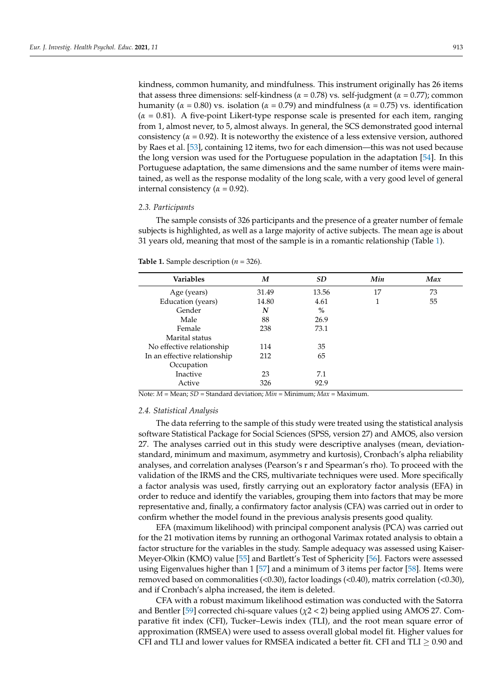kindness, common humanity, and mindfulness. This instrument originally has 26 items that assess three dimensions: self-kindness (*α* = 0.78) vs. self-judgment (*α* = 0.77); common humanity ( $\alpha = 0.80$ ) vs. isolation ( $\alpha = 0.79$ ) and mindfulness ( $\alpha = 0.75$ ) vs. identification (*α* = 0.81). A five-point Likert-type response scale is presented for each item, ranging from 1, almost never, to 5, almost always. In general, the SCS demonstrated good internal consistency ( $\alpha$  = 0.92). It is noteworthy the existence of a less extensive version, authored by Raes et al. [\[53\]](#page-13-29), containing 12 items, two for each dimension—this was not used because the long version was used for the Portuguese population in the adaptation [\[54\]](#page-13-30). In this Portuguese adaptation, the same dimensions and the same number of items were maintained, as well as the response modality of the long scale, with a very good level of general internal consistency ( $\alpha$  = 0.92).

#### *2.3. Participants*

The sample consists of 326 participants and the presence of a greater number of female subjects is highlighted, as well as a large majority of active subjects. The mean age is about 31 years old, meaning that most of the sample is in a romantic relationship (Table [1\)](#page-5-0).

<span id="page-5-0"></span>

| <b>Variables</b>             | M     | <b>SD</b> | Min | Max |
|------------------------------|-------|-----------|-----|-----|
| Age (years)                  | 31.49 | 13.56     | 17  | 73  |
| Education (years)            | 14.80 | 4.61      | 1   | 55  |
| Gender                       | N     | $\%$      |     |     |
| Male                         | 88    | 26.9      |     |     |
| Female                       | 238   | 73.1      |     |     |
| Marital status               |       |           |     |     |
| No effective relationship    | 114   | 35        |     |     |
| In an effective relationship | 212   | 65        |     |     |
| Occupation                   |       |           |     |     |
| Inactive                     | 23    | 7.1       |     |     |
| Active                       | 326   | 92.9      |     |     |

Note: *M =* Mean; *SD* = Standard deviation; *Min* = Minimum; *Max* = Maximum.

#### *2.4. Statistical Analysis*

The data referring to the sample of this study were treated using the statistical analysis software Statistical Package for Social Sciences (SPSS, version 27) and AMOS, also version 27. The analyses carried out in this study were descriptive analyses (mean, deviationstandard, minimum and maximum, asymmetry and kurtosis), Cronbach's alpha reliability analyses, and correlation analyses (Pearson's r and Spearman's rho). To proceed with the validation of the IRMS and the CRS, multivariate techniques were used. More specifically a factor analysis was used, firstly carrying out an exploratory factor analysis (EFA) in order to reduce and identify the variables, grouping them into factors that may be more representative and, finally, a confirmatory factor analysis (CFA) was carried out in order to confirm whether the model found in the previous analysis presents good quality.

EFA (maximum likelihood) with principal component analysis (PCA) was carried out for the 21 motivation items by running an orthogonal Varimax rotated analysis to obtain a factor structure for the variables in the study. Sample adequacy was assessed using Kaiser-Meyer-Olkin (KMO) value [\[55\]](#page-13-31) and Bartlett's Test of Sphericity [\[56\]](#page-13-32). Factors were assessed using Eigenvalues higher than 1 [\[57\]](#page-13-33) and a minimum of 3 items per factor [\[58\]](#page-13-34). Items were removed based on commonalities (<0.30), factor loadings (<0.40), matrix correlation (<0.30), and if Cronbach's alpha increased, the item is deleted.

CFA with a robust maximum likelihood estimation was conducted with the Satorra and Bentler [\[59\]](#page-13-35) corrected chi-square values (*χ*2 < 2) being applied using AMOS 27. Comparative fit index (CFI), Tucker–Lewis index (TLI), and the root mean square error of approximation (RMSEA) were used to assess overall global model fit. Higher values for CFI and TLI and lower values for RMSEA indicated a better fit. CFI and TLI  $\geq 0.90$  and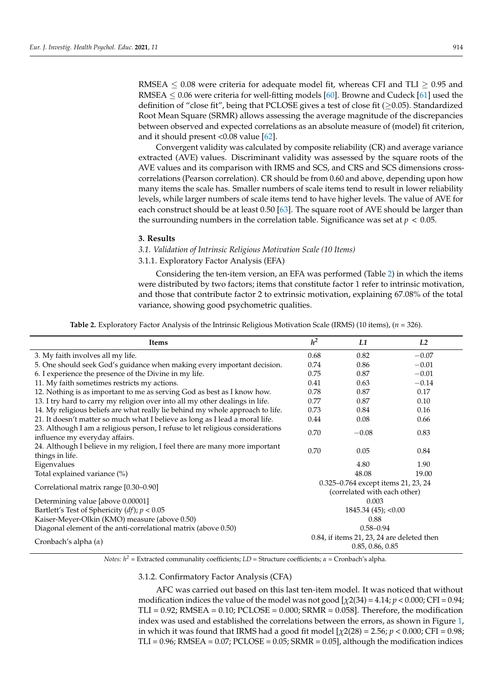RMSEA  $\leq$  0.08 were criteria for adequate model fit, whereas CFI and TLI  $\geq$  0.95 and RMSEA  $\leq$  0.06 were criteria for well-fitting models [\[60\]](#page-14-0). Browne and Cudeck [\[61\]](#page-14-1) used the definition of "close fit", being that PCLOSE gives a test of close fit ( $\geq$ 0.05). Standardized Root Mean Square (SRMR) allows assessing the average magnitude of the discrepancies between observed and expected correlations as an absolute measure of (model) fit criterion, and it should present <0.08 value [\[62\]](#page-14-2).

Convergent validity was calculated by composite reliability (CR) and average variance extracted (AVE) values. Discriminant validity was assessed by the square roots of the AVE values and its comparison with IRMS and SCS, and CRS and SCS dimensions crosscorrelations (Pearson correlation). CR should be from 0.60 and above, depending upon how many items the scale has. Smaller numbers of scale items tend to result in lower reliability levels, while larger numbers of scale items tend to have higher levels. The value of AVE for each construct should be at least 0.50 [\[63\]](#page-14-3). The square root of AVE should be larger than the surrounding numbers in the correlation table. Significance was set at  $p < 0.05$ .

#### **3. Results**

## *3.1. Validation of Intrinsic Religious Motivation Scale (10 Items)*

3.1.1. Exploratory Factor Analysis (EFA)

Considering the ten-item version, an EFA was performed (Table [2\)](#page-6-0) in which the items were distributed by two factors; items that constitute factor 1 refer to intrinsic motivation, and those that contribute factor 2 to extrinsic motivation, explaining 67.08% of the total variance, showing good psychometric qualities.

**Table 2.** Exploratory Factor Analysis of the Intrinsic Religious Motivation Scale (IRMS) (10 items), (*n* = 326).

<span id="page-6-0"></span>

| <b>Items</b>                                                                   | h <sup>2</sup>                                                 | L1      | L2      |  |
|--------------------------------------------------------------------------------|----------------------------------------------------------------|---------|---------|--|
| 3. My faith involves all my life.                                              | 0.68                                                           | 0.82    | $-0.07$ |  |
| 5. One should seek God's guidance when making every important decision.        | 0.74                                                           | 0.86    | $-0.01$ |  |
| 6. I experience the presence of the Divine in my life.                         | 0.75                                                           | 0.87    | $-0.01$ |  |
| 11. My faith sometimes restricts my actions.                                   | 0.41                                                           | 0.63    | $-0.14$ |  |
| 12. Nothing is as important to me as serving God as best as I know how.        | 0.78                                                           | 0.87    | 0.17    |  |
| 13. I try hard to carry my religion over into all my other dealings in life.   | 0.77                                                           | 0.87    | 0.10    |  |
| 14. My religious beliefs are what really lie behind my whole approach to life. | 0.73                                                           | 0.84    | 0.16    |  |
| 21. It doesn't matter so much what I believe as long as I lead a moral life.   | 0.44                                                           | 0.08    | 0.66    |  |
| 23. Although I am a religious person, I refuse to let religious considerations | 0.70                                                           | $-0.08$ | 0.83    |  |
| influence my everyday affairs.                                                 |                                                                |         |         |  |
| 24. Although I believe in my religion, I feel there are many more important    | 0.70                                                           | 0.05    | 0.84    |  |
| things in life.                                                                |                                                                |         |         |  |
| Eigenvalues                                                                    |                                                                | 4.80    | 1.90    |  |
| Total explained variance (%)                                                   |                                                                | 48.08   | 19.00   |  |
| Correlational matrix range [0.30-0.90]                                         | 0.325-0.764 except items 21, 23, 24                            |         |         |  |
|                                                                                | (correlated with each other)                                   |         |         |  |
| Determining value [above 0.00001]                                              | 0.003                                                          |         |         |  |
| Bartlett's Test of Sphericity $(df)$ ; $p < 0.05$                              | $1845.34(45)$ ; <0.00                                          |         |         |  |
| Kaiser-Meyer-Olkin (KMO) measure (above 0.50)                                  | 0.88                                                           |         |         |  |
| Diagonal element of the anti-correlational matrix (above 0.50)                 | $0.58 - 0.94$                                                  |         |         |  |
| Cronbach's alpha $(\alpha)$                                                    | 0.84, if items 21, 23, 24 are deleted then<br>0.85, 0.86, 0.85 |         |         |  |

*Notes: h*<sup>2</sup> = Extracted communality coefficients; *LD* = Structure coefficients; *α* = Cronbach's alpha.

## 3.1.2. Confirmatory Factor Analysis (CFA)

AFC was carried out based on this last ten-item model. It was noticed that without modification indices the value of the model was not good [*χ*2(34) = 4.14; *p* < 0.000; CFI = 0.94;  $TLI = 0.92$ ; RMSEA =  $0.10$ ; PCLOSE =  $0.000$ ; SRMR =  $0.058$ ]. Therefore, the modification index was used and established the correlations between the errors, as shown in Figure [1,](#page-7-0) in which it was found that IRMS had a good fit model  $[\chi2(28) = 2.56; p < 0.000; CFI = 0.98;$  $TLI = 0.96$ ; RMSEA =  $0.07$ ; PCLOSE =  $0.05$ ; SRMR =  $0.05$ ], although the modification indices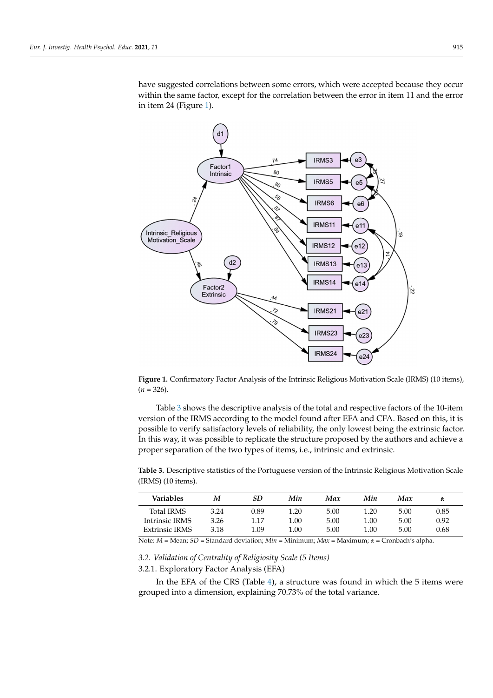have suggested correlations between some errors, which were accepted because they occur within the same factor, except for the correlation between the error in item 11 and the error in item 24 (Figure 1).

<span id="page-7-0"></span>

**Figure 1.** Confirmatory Factor Analysis of the Intrinsic Religious Motivation Scale (IRMS) (10 **Figure 1.** Confirmatory Factor Analysis of the Intrinsic Religious Motivation Scale (IRMS) (10 items),  $(n = 326)$ .

Tabl[e 3](#page-7-1) shows the descriptive analysis of the total and respective factors of the 10-item version of the IRMS according to the model found after EFA and CFA. Based on this, it is possible to verify satisfactory levels of reliability, the only lowest being the extrinsic factor. In this way, it was possible to replicate the structure proposed by the authors and achieve a proper separation of the two types of items, i.e., intrinsic and extrinsic.

<span id="page-7-1"></span>**Table 3.** Descriptive statistics of the Portuguese version of the Intrinsic Religious Motivation Scale (IRMS) (10 items).

| Variables         | М    | SD   | Min  | Max  | Min  | Max  | α    |
|-------------------|------|------|------|------|------|------|------|
| <b>Total IRMS</b> | 3.24 | 0.89 | 1.20 | 5.00 | 1.20 | 5.00 | 0.85 |
| Intrinsic IRMS    | 3.26 | 1.17 | 1.00 | 5.00 | 1.00 | 5.00 | 0.92 |
| Extrinsic IRMS    | 3.18 | 1.09 | 1.00 | 5.00 | 1.00 | 5.00 | 0.68 |

Note: *M =* Mean; *SD* = Standard deviation; *Min* = Minimum; *Max* = Maximum; *α* = Cronbach's alpha.

## *3.2. Validation of Centrality of Religiosity Scale (5 Items)*

3.2.1. Exploratory Factor Analysis (EFA)

In the EFA of the CRS (Table [4\)](#page-8-0), a structure was found in which the 5 items were grouped into a dimension, explaining 70.73% of the total variance.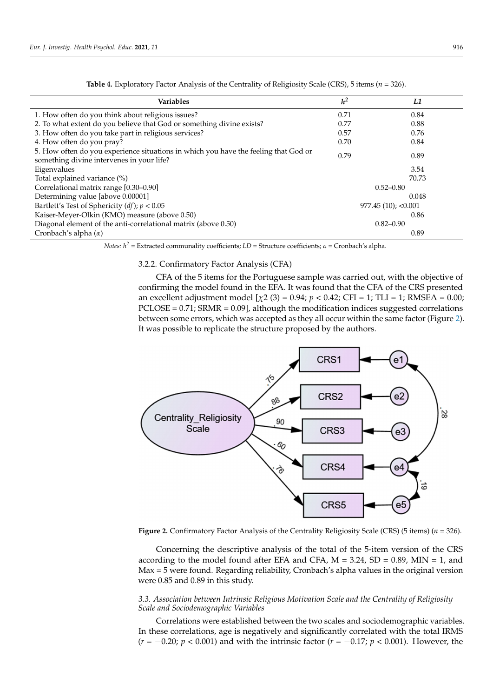<span id="page-8-0"></span>

| <b>Variables</b>                                                                                                                 | h <sup>2</sup> | L1                    |
|----------------------------------------------------------------------------------------------------------------------------------|----------------|-----------------------|
| 1. How often do you think about religious issues?                                                                                | 0.71           | 0.84                  |
| 2. To what extent do you believe that God or something divine exists?                                                            | 0.77           | 0.88                  |
| 3. How often do you take part in religious services?                                                                             | 0.57           | 0.76                  |
| 4. How often do you pray?                                                                                                        | 0.70           | 0.84                  |
| 5. How often do you experience situations in which you have the feeling that God or<br>something divine intervenes in your life? | 0.79           | 0.89                  |
| Eigenvalues                                                                                                                      |                | 3.54                  |
| Total explained variance (%)                                                                                                     |                | 70.73                 |
| Correlational matrix range [0.30-0.90]                                                                                           |                | $0.52 - 0.80$         |
| Determining value [above 0.00001]                                                                                                |                | 0.048                 |
| Bartlett's Test of Sphericity $(df)$ ; $p < 0.05$                                                                                |                | $977.45(10)$ ; <0.001 |
| Kaiser-Meyer-Olkin (KMO) measure (above 0.50)                                                                                    |                | 0.86                  |
| Diagonal element of the anti-correlational matrix (above 0.50)                                                                   |                | $0.82 - 0.90$         |
| Cronbach's alpha $(\alpha)$                                                                                                      |                | 0.89                  |

**Table 4.** Exploratory Factor Analysis of the Centrality of Religiosity Scale (CRS), 5 items (*n* = 326).

*Notes: h<sup>2</sup>* = Extracted communality coefficients; *LD* = Structure coefficients; *α* = Cronbach's alpha.

#### 3.2.2. Confirmatory Factor Analysis (CFA)

CFA of the 5 items for the Portuguese sample was carried out, with the objective of confirming the model found in the EFA. It was found that the CFA of the CRS presented an excellent adjustment model [*χ*2 (3) = 0.94; *p* < 0.42; CFI = 1; TLI = 1; RMSEA = 0.00;  $PCLOSE = 0.71$ ;  $SRMR = 0.09$ ], although the modification indices suggested correlations between some errors, which was accepted as they all occur within the same factor (Figure [2\)](#page-8-1). It was possible to replicate the structure proposed by the authors.

<span id="page-8-1"></span>

**Figure 2.** Confirmatory Factor Analysis of the Centrality Religiosity Scale (CRS) (5 items) ( $n = 326$ ).

Concerning the descriptive analysis of the total of the 5-item version of the CRS according to the model found after EFA and CFA,  $M = 3.24$ ,  $SD = 0.89$ ,  $MIN = 1$ , and Max = 5 were found. Regarding reliability, Cronbach's alpha values in the original version 0.85 and 0.89 in this study. were 0.85 and 0.89 in this study.

*3.3. Association between Intrinsic Religious Motivation Scale and the Centrality of Religiosity 3.3. Association between Intrinsic Religious Motivation Scale and the Centrality of Religiosity Scale and Sociodemographic Variables*

*Scale and Sociodemographic Variables*  Correlations were established between the two scales and sociodemographic variables. In these correlations, age is negatively and significantly correlated with the total IRMS  $(r = -0.20; p < 0.001)$  and with the intrinsic factor  $(r = -0.17; p < 0.001)$ . However, the IRMS (*r* = −0.20; *p* < 0.001) and with the intrinsic factor (*r* = −0.17; *p* < 0.001). However, the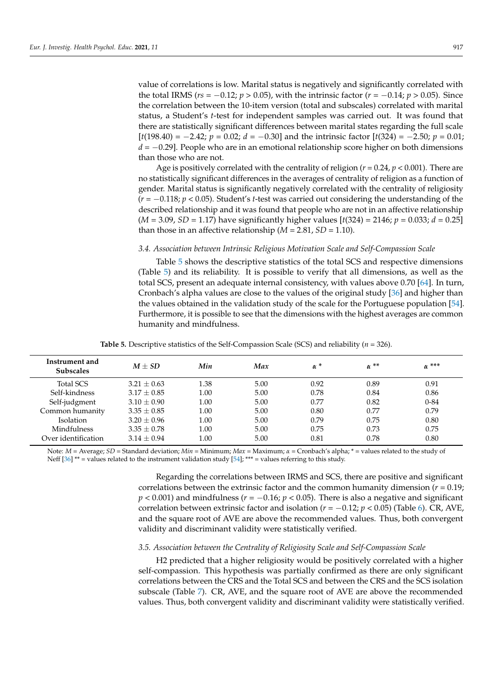value of correlations is low. Marital status is negatively and significantly correlated with the total IRMS ( $rs = -0.12$ ;  $p > 0.05$ ), with the intrinsic factor ( $r = -0.14$ ;  $p > 0.05$ ). Since the correlation between the 10-item version (total and subscales) correlated with marital status, a Student's *t*-test for independent samples was carried out. It was found that there are statistically significant differences between marital states regarding the full scale [*t*(198.40) = −2.42; *p* = 0.02; *d* = −0.30] and the intrinsic factor [*t*(324) = −2.50; *p* = 0.01; *d* = −0.29]. People who are in an emotional relationship score higher on both dimensions than those who are not.

Age is positively correlated with the centrality of religion (*r* = 0.24, *p* < 0.001). There are no statistically significant differences in the averages of centrality of religion as a function of gender. Marital status is significantly negatively correlated with the centrality of religiosity (*r* = −0.118; *p* < 0.05). Student's *t*-test was carried out considering the understanding of the described relationship and it was found that people who are not in an affective relationship (*M* = 3.09, *SD* = 1.17) have significantly higher values [*t*(324) = 2146; *p* = 0.033; *d* = 0.25] than those in an affective relationship  $(M = 2.81, SD = 1.10)$ .

#### *3.4. Association between Intrinsic Religious Motivation Scale and Self-Compassion Scale*

Table [5](#page-9-0) shows the descriptive statistics of the total SCS and respective dimensions (Table [5\)](#page-9-0) and its reliability. It is possible to verify that all dimensions, as well as the total SCS, present an adequate internal consistency, with values above 0.70 [\[64\]](#page-14-4). In turn, Cronbach's alpha values are close to the values of the original study [\[36\]](#page-13-12) and higher than the values obtained in the validation study of the scale for the Portuguese population [\[54\]](#page-13-30). Furthermore, it is possible to see that the dimensions with the highest averages are common humanity and mindfulness.

**Table 5.** Descriptive statistics of the Self-Compassion Scale (SCS) and reliability (*n* = 326).

<span id="page-9-0"></span>

| Instrument and<br><b>Subscales</b> | $M + SD$      | Min  | Max  | $\alpha$ <sup>*</sup> | $\alpha$ <sup>**</sup> | $\alpha$ <sup>***</sup> |
|------------------------------------|---------------|------|------|-----------------------|------------------------|-------------------------|
| Total SCS                          | $3.21 + 0.63$ | 1.38 | 5.00 | 0.92                  | 0.89                   | 0.91                    |
| Self-kindness                      | $3.17 + 0.85$ | 1.00 | 5.00 | 0.78                  | 0.84                   | 0.86                    |
| Self-judgment                      | $3.10 + 0.90$ | 1.00 | 5.00 | 0.77                  | 0.82                   | $0 - 84$                |
| Common humanity                    | $3.35 + 0.85$ | 1.00 | 5.00 | 0.80                  | 0.77                   | 0.79                    |
| Isolation                          | $3.20 + 0.96$ | 1.00 | 5.00 | 0.79                  | 0.75                   | 0.80                    |
| <b>Mindfulness</b>                 | $3.35 + 0.78$ | 1.00 | 5.00 | 0.75                  | 0.73                   | 0.75                    |
| Over identification                | $3.14 + 0.94$ | 1.00 | 5.00 | 0.81                  | 0.78                   | 0.80                    |

Note: *M* = Average; *SD* = Standard deviation; *Min* = Minimum; *Max* = Maximum; *α* = Cronbach's alpha; \* = values related to the study of Neff  $[36]$ <sup>\*\*</sup> = values related to the instrument validation study  $[54]$ ; \*\*\* = values referring to this study.

> Regarding the correlations between IRMS and SCS, there are positive and significant correlations between the extrinsic factor and the common humanity dimension  $(r = 0.19)$ ; *p* < 0.001) and mindfulness (*r* = −0.16; *p* < 0.05). There is also a negative and significant correlation between extrinsic factor and isolation ( $r = -0.12$ ;  $p < 0.05$ ) (Table [6\)](#page-10-0). CR, AVE, and the square root of AVE are above the recommended values. Thus, both convergent validity and discriminant validity were statistically verified.

#### *3.5. Association between the Centrality of Religiosity Scale and Self-Compassion Scale*

H2 predicted that a higher religiosity would be positively correlated with a higher self-compassion. This hypothesis was partially confirmed as there are only significant correlations between the CRS and the Total SCS and between the CRS and the SCS isolation subscale (Table [7\)](#page-10-1). CR, AVE, and the square root of AVE are above the recommended values. Thus, both convergent validity and discriminant validity were statistically verified.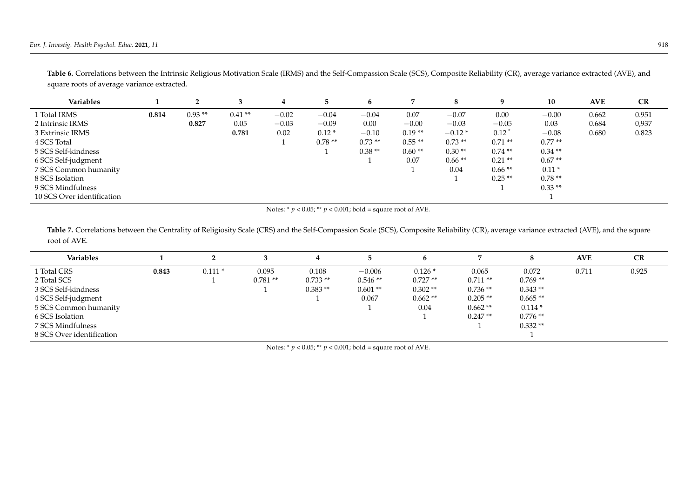| Variables                  |       |          |          |         |          |          |          |          | a         | 10        | <b>AVE</b> | CR    |
|----------------------------|-------|----------|----------|---------|----------|----------|----------|----------|-----------|-----------|------------|-------|
| 1 Total IRMS               | 0.814 | $0.93**$ | $0.41**$ | $-0.02$ | $-0.04$  | $-0.04$  | 0.07     | $-0.07$  | 0.00      | $-0.00$   | 0.662      | 0.951 |
| 2 Intrinsic IRMS           |       | 0.827    | 0.05     | $-0.03$ | $-0.09$  | 0.00     | $-0.00$  | $-0.03$  | $-0.05$   | 0.03      | 0.684      | 0,937 |
| 3 Extrinsic IRMS           |       |          | 0.781    | 0.02    | $0.12*$  | $-0.10$  | $0.19**$ | $-0.12*$ | 0.12      | $-0.08$   | 0.680      | 0.823 |
| 4 SCS Total                |       |          |          |         | $0.78**$ | $0.73**$ | $0.55**$ | $0.73**$ | $0.71**$  | $0.77**$  |            |       |
| 5 SCS Self-kindness        |       |          |          |         |          | $0.38**$ | $0.60**$ | $0.30**$ | $0.74$ ** | $0.34$ ** |            |       |
| 6 SCS Self-judgment        |       |          |          |         |          |          | 0.07     | $0.66**$ | $0.21$ ** | $0.67**$  |            |       |
| 7 SCS Common humanity      |       |          |          |         |          |          |          | 0.04     | $0.66**$  | $0.11*$   |            |       |
| 8 SCS Isolation            |       |          |          |         |          |          |          |          | $0.25**$  | $0.78**$  |            |       |
| 9 SCS Mindfulness          |       |          |          |         |          |          |          |          |           | $0.33**$  |            |       |
| 10 SCS Over identification |       |          |          |         |          |          |          |          |           |           |            |       |

Table 6. Correlations between the Intrinsic Religious Motivation Scale (IRMS) and the Self-Compassion Scale (SCS), Composite Reliability (CR), average variance extracted (AVE), and square roots of average variance extracted.

Notes: \* *p* < 0.05; \*\* *p* < 0.001; bold = square root of AVE.

Table 7. Correlations between the Centrality of Religiosity Scale (CRS) and the Self-Compassion Scale (SCS), Composite Reliability (CR), average variance extracted (AVE), and the square root of AVE.

<span id="page-10-1"></span><span id="page-10-0"></span>

| <b>Variables</b>          |       |          |           |           |           |           |           |           | <b>AVE</b> | CR    |
|---------------------------|-------|----------|-----------|-----------|-----------|-----------|-----------|-----------|------------|-------|
| 1 Total CRS               | 0.843 | $0.111*$ | 0.095     | 0.108     | $-0.006$  | $0.126*$  | 0.065     | 0.072     | 0.711      | 0.925 |
| 2 Total SCS               |       |          | $0.781**$ | $0.733**$ | $0.546**$ | $0.727**$ | $0.711**$ | $0.769**$ |            |       |
| 3 SCS Self-kindness       |       |          |           | $0.383**$ | $0.601**$ | $0.302**$ | $0.736**$ | $0.343**$ |            |       |
| 4 SCS Self-judgment       |       |          |           |           | 0.067     | $0.662**$ | $0.205**$ | $0.665**$ |            |       |
| 5 SCS Common humanity     |       |          |           |           |           | 0.04      | $0.662**$ | $0.114*$  |            |       |
| 6 SCS Isolation           |       |          |           |           |           |           | $0.247**$ | $0.776**$ |            |       |
| 7 SCS Mindfulness         |       |          |           |           |           |           |           | $0.332**$ |            |       |
| 8 SCS Over identification |       |          |           |           |           |           |           |           |            |       |

Notes:  $* p < 0.05$ ;  $** p < 0.001$ ; bold = square root of AVE.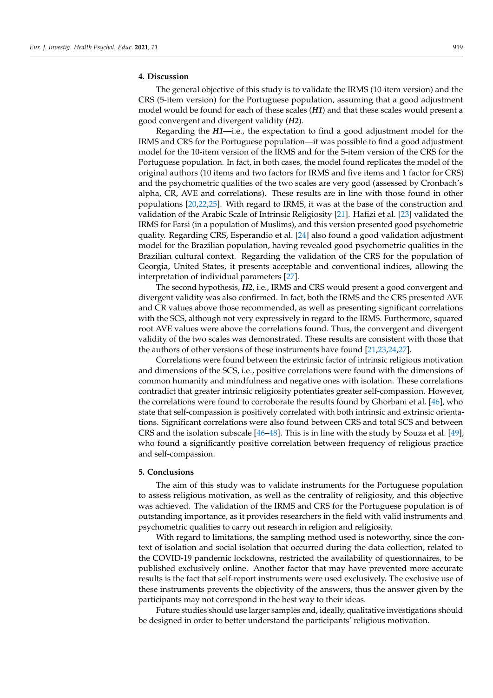#### **4. Discussion**

The general objective of this study is to validate the IRMS (10-item version) and the CRS (5-item version) for the Portuguese population, assuming that a good adjustment model would be found for each of these scales (*H1*) and that these scales would present a good convergent and divergent validity (*H2*).

Regarding the *H1*—i.e., the expectation to find a good adjustment model for the IRMS and CRS for the Portuguese population—it was possible to find a good adjustment model for the 10-item version of the IRMS and for the 5-item version of the CRS for the Portuguese population. In fact, in both cases, the model found replicates the model of the original authors (10 items and two factors for IRMS and five items and 1 factor for CRS) and the psychometric qualities of the two scales are very good (assessed by Cronbach's alpha, CR, AVE and correlations). These results are in line with those found in other populations [\[20](#page-12-19)[,22](#page-12-21)[,25\]](#page-13-1). With regard to IRMS, it was at the base of the construction and validation of the Arabic Scale of Intrinsic Religiosity [\[21\]](#page-12-20). Hafizi et al. [\[23\]](#page-12-22) validated the IRMS for Farsi (in a population of Muslims), and this version presented good psychometric quality. Regarding CRS, Esperandio et al. [\[24\]](#page-13-0) also found a good validation adjustment model for the Brazilian population, having revealed good psychometric qualities in the Brazilian cultural context. Regarding the validation of the CRS for the population of Georgia, United States, it presents acceptable and conventional indices, allowing the interpretation of individual parameters [\[27\]](#page-13-3).

The second hypothesis, *H2*, i.e., IRMS and CRS would present a good convergent and divergent validity was also confirmed. In fact, both the IRMS and the CRS presented AVE and CR values above those recommended, as well as presenting significant correlations with the SCS, although not very expressively in regard to the IRMS. Furthermore, squared root AVE values were above the correlations found. Thus, the convergent and divergent validity of the two scales was demonstrated. These results are consistent with those that the authors of other versions of these instruments have found [\[21,](#page-12-20)[23](#page-12-22)[,24](#page-13-0)[,27\]](#page-13-3).

Correlations were found between the extrinsic factor of intrinsic religious motivation and dimensions of the SCS, i.e., positive correlations were found with the dimensions of common humanity and mindfulness and negative ones with isolation. These correlations contradict that greater intrinsic religiosity potentiates greater self-compassion. However, the correlations were found to corroborate the results found by Ghorbani et al. [\[46\]](#page-13-22), who state that self-compassion is positively correlated with both intrinsic and extrinsic orientations. Significant correlations were also found between CRS and total SCS and between CRS and the isolation subscale [\[46](#page-13-22)[–48\]](#page-13-24). This is in line with the study by Souza et al. [\[49\]](#page-13-25), who found a significantly positive correlation between frequency of religious practice and self-compassion.

## **5. Conclusions**

The aim of this study was to validate instruments for the Portuguese population to assess religious motivation, as well as the centrality of religiosity, and this objective was achieved. The validation of the IRMS and CRS for the Portuguese population is of outstanding importance, as it provides researchers in the field with valid instruments and psychometric qualities to carry out research in religion and religiosity.

With regard to limitations, the sampling method used is noteworthy, since the context of isolation and social isolation that occurred during the data collection, related to the COVID-19 pandemic lockdowns, restricted the availability of questionnaires, to be published exclusively online. Another factor that may have prevented more accurate results is the fact that self-report instruments were used exclusively. The exclusive use of these instruments prevents the objectivity of the answers, thus the answer given by the participants may not correspond in the best way to their ideas.

Future studies should use larger samples and, ideally, qualitative investigations should be designed in order to better understand the participants' religious motivation.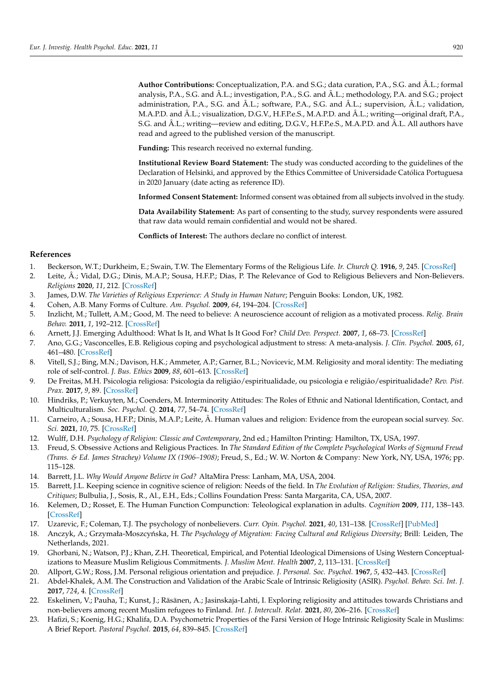**Author Contributions:** Conceptualization, P.A. and S.G.; data curation, P.A., S.G. and Â.L.; formal analysis, P.A., S.G. and Â.L.; investigation, P.A., S.G. and Â.L.; methodology, P.A. and S.G.; project administration, P.A., S.G. and Â.L.; software, P.A., S.G. and Â.L.; supervision, Â.L.; validation, M.A.P.D. and Â.L.; visualization, D.G.V., H.F.P.e.S., M.A.P.D. and Â.L.; writing—original draft, P.A., S.G. and Â.L.; writing—review and editing, D.G.V., H.F.P.e.S., M.A.P.D. and Â.L. All authors have read and agreed to the published version of the manuscript.

**Funding:** This research received no external funding.

**Institutional Review Board Statement:** The study was conducted according to the guidelines of the Declaration of Helsinki, and approved by the Ethics Committee of Universidade Católica Portuguesa in 2020 January (date acting as reference ID).

**Informed Consent Statement:** Informed consent was obtained from all subjects involved in the study.

**Data Availability Statement:** As part of consenting to the study, survey respondents were assured that raw data would remain confidential and would not be shared.

**Conflicts of Interest:** The authors declare no conflict of interest.

## **References**

- <span id="page-12-0"></span>1. Beckerson, W.T.; Durkheim, E.; Swain, T.W. The Elementary Forms of the Religious Life. *Ir. Church Q.* **1916**, *9*, 245. [\[CrossRef\]](http://doi.org/10.2307/30067652)
- <span id="page-12-1"></span>2. Leite, Â.; Vidal, D.G.; Dinis, M.A.P.; Sousa, H.F.P.; Dias, P. The Relevance of God to Religious Believers and Non-Believers. *Religions* **2020**, *11*, 212. [\[CrossRef\]](http://doi.org/10.3390/rel11040212)
- <span id="page-12-2"></span>3. James, D.W. *The Varieties of Religious Experience: A Study in Human Nature*; Penguin Books: London, UK, 1982.
- <span id="page-12-3"></span>4. Cohen, A.B. Many Forms of Culture. *Am. Psychol.* **2009**, *64*, 194–204. [\[CrossRef\]](http://doi.org/10.1037/a0015308)
- <span id="page-12-4"></span>5. Inzlicht, M.; Tullett, A.M.; Good, M. The need to believe: A neuroscience account of religion as a motivated process. *Relig. Brain Behav.* **2011**, *1*, 192–212. [\[CrossRef\]](http://doi.org/10.1080/2153599X.2011.647849)
- <span id="page-12-5"></span>6. Arnett, J.J. Emerging Adulthood: What Is It, and What Is It Good For? *Child Dev. Perspect.* **2007**, *1*, 68–73. [\[CrossRef\]](http://doi.org/10.1111/j.1750-8606.2007.00016.x)
- <span id="page-12-6"></span>7. Ano, G.G.; Vasconcelles, E.B. Religious coping and psychological adjustment to stress: A meta-analysis. *J. Clin. Psychol.* **2005**, *61*, 461–480. [\[CrossRef\]](http://doi.org/10.1002/jclp.20049)
- <span id="page-12-7"></span>8. Vitell, S.J.; Bing, M.N.; Davison, H.K.; Ammeter, A.P.; Garner, B.L.; Novicevic, M.M. Religiosity and moral identity: The mediating role of self-control. *J. Bus. Ethics* **2009**, *88*, 601–613. [\[CrossRef\]](http://doi.org/10.1007/s10551-008-9980-0)
- <span id="page-12-8"></span>9. De Freitas, M.H. Psicologia religiosa: Psicologia da religião/espiritualidade, ou psicologia e religião/espiritualidade? *Rev. Pist. Prax.* **2017**, *9*, 89. [\[CrossRef\]](http://doi.org/10.7213/2175-1838.09.001.DS04)
- <span id="page-12-9"></span>10. Hindriks, P.; Verkuyten, M.; Coenders, M. Interminority Attitudes: The Roles of Ethnic and National Identification, Contact, and Multiculturalism. *Soc. Psychol. Q.* **2014**, *77*, 54–74. [\[CrossRef\]](http://doi.org/10.1177/0190272513511469)
- <span id="page-12-10"></span>11. Carneiro, A.; Sousa, H.F.P.; Dinis, M.A.P.; Leite, Â. Human values and religion: Evidence from the european social survey. *Soc. Sci.* **2021**, *10*, 75. [\[CrossRef\]](http://doi.org/10.3390/socsci10020075)
- <span id="page-12-11"></span>12. Wulff, D.H. *Psychology of Religion: Classic and Contemporary*, 2nd ed.; Hamilton Printing: Hamilton, TX, USA, 1997.
- <span id="page-12-12"></span>13. Freud, S. Obsessive Actions and Religious Practices. In *The Standard Edition of the Complete Psychological Works of Sigmund Freud (Trans. & Ed. James Strachey) Volume IX (1906–1908)*; Freud, S., Ed.; W. W. Norton & Company: New York, NY, USA, 1976; pp. 115–128.
- <span id="page-12-13"></span>14. Barrett, J.L. *Why Would Anyone Believe in God?* AltaMira Press: Lanham, MA, USA, 2004.
- <span id="page-12-14"></span>15. Barrett, J.L. Keeping science in cognitive science of religion: Needs of the field. In *The Evolution of Religion: Studies, Theories, and Critiques*; Bulbulia, J., Sosis, R., Al., E.H., Eds.; Collins Foundation Press: Santa Margarita, CA, USA, 2007.
- <span id="page-12-15"></span>16. Kelemen, D.; Rosset, E. The Human Function Compunction: Teleological explanation in adults. *Cognition* **2009**, *111*, 138–143. [\[CrossRef\]](http://doi.org/10.1016/j.cognition.2009.01.001)
- <span id="page-12-16"></span>17. Uzarevic, F.; Coleman, T.J. The psychology of nonbelievers. *Curr. Opin. Psychol.* **2021**, *40*, 131–138. [\[CrossRef\]](http://doi.org/10.1016/j.copsyc.2020.08.026) [\[PubMed\]](http://www.ncbi.nlm.nih.gov/pubmed/33069981)
- <span id="page-12-17"></span>18. Anczyk, A.; Grzymała-Moszcyńska, H. *The Psychology of Migration: Facing Cultural and Religious Diversity; Brill: Leiden*, The Netherlands, 2021.
- <span id="page-12-18"></span>19. Ghorbani, N.; Watson, P.J.; Khan, Z.H. Theoretical, Empirical, and Potential Ideological Dimensions of Using Western Conceptualizations to Measure Muslim Religious Commitments. *J. Muslim Ment. Health* **2007**, *2*, 113–131. [\[CrossRef\]](http://doi.org/10.1080/15564900701613041)
- <span id="page-12-19"></span>20. Allport, G.W.; Ross, J.M. Personal religious orientation and prejudice. *J. Personal. Soc. Psychol.* **1967**, *5*, 432–443. [\[CrossRef\]](http://doi.org/10.1037/h0021212)
- <span id="page-12-20"></span>21. Abdel-Khalek, A.M. The Construction and Validation of the Arabic Scale of Intrinsic Religiosity (ASIR). *Psychol. Behav. Sci. Int. J.* **2017**, *724*, 4. [\[CrossRef\]](http://doi.org/10.19080/PBSIJ.2017.04.555644)
- <span id="page-12-21"></span>22. Eskelinen, V.; Pauha, T.; Kunst, J.; Räsänen, A.; Jasinskaja-Lahti, I. Exploring religiosity and attitudes towards Christians and non-believers among recent Muslim refugees to Finland. *Int. J. Intercult. Relat.* **2021**, *80*, 206–216. [\[CrossRef\]](http://doi.org/10.1016/j.ijintrel.2020.10.007)
- <span id="page-12-22"></span>23. Hafizi, S.; Koenig, H.G.; Khalifa, D.A. Psychometric Properties of the Farsi Version of Hoge Intrinsic Religiosity Scale in Muslims: A Brief Report. *Pastoral Psychol.* **2015**, *64*, 839–845. [\[CrossRef\]](http://doi.org/10.1007/s11089-015-0648-2)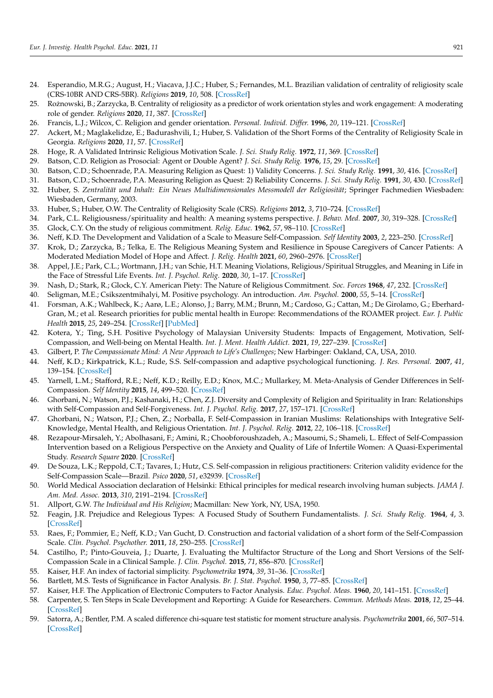- <span id="page-13-0"></span>24. Esperandio, M.R.G.; August, H.; Viacava, J.J.C.; Huber, S.; Fernandes, M.L. Brazilian validation of centrality of religiosity scale (CRS-10BR AND CRS-5BR). *Religions* **2019**, *10*, 508. [\[CrossRef\]](http://doi.org/10.3390/rel10090508)
- <span id="page-13-1"></span>25. Roznowski, B.; Zarzycka, B. Centrality of religiosity as a predictor of work orientation styles and work engagement: A moderating ˙ role of gender. *Religions* **2020**, *11*, 387. [\[CrossRef\]](http://doi.org/10.3390/rel11080387)
- <span id="page-13-2"></span>26. Francis, L.J.; Wilcox, C. Religion and gender orientation. *Personal. Individ. Differ.* **1996**, *20*, 119–121. [\[CrossRef\]](http://doi.org/10.1016/0191-8869(95)00135-S)
- <span id="page-13-3"></span>27. Ackert, M.; Maglakelidze, E.; Badurashvili, I.; Huber, S. Validation of the Short Forms of the Centrality of Religiosity Scale in Georgia. *Religions* **2020**, *11*, 57. [\[CrossRef\]](http://doi.org/10.3390/rel11020057)
- <span id="page-13-4"></span>28. Hoge, R. A Validated Intrinsic Religious Motivation Scale. *J. Sci. Study Relig.* **1972**, *11*, 369. [\[CrossRef\]](http://doi.org/10.2307/1384677)
- <span id="page-13-5"></span>29. Batson, C.D. Religion as Prosocial: Agent or Double Agent? *J. Sci. Study Relig.* **1976**, *15*, 29. [\[CrossRef\]](http://doi.org/10.2307/1384312)
- <span id="page-13-6"></span>30. Batson, C.D.; Schoenrade, P.A. Measuring Religion as Quest: 1) Validity Concerns. *J. Sci. Study Relig.* **1991**, *30*, 416. [\[CrossRef\]](http://doi.org/10.2307/1387277)
- <span id="page-13-7"></span>31. Batson, C.D.; Schoenrade, P.A. Measuring Religion as Quest: 2) Reliability Concerns. *J. Sci. Study Relig.* **1991**, *30*, 430. [\[CrossRef\]](http://doi.org/10.2307/1387278)
- <span id="page-13-8"></span>32. Huber, S. *Zentralität und Inhalt: Ein Neues Multidimensionales Messmodell der Religiosität*; Springer Fachmedien Wiesbaden: Wiesbaden, Germany, 2003.
- <span id="page-13-9"></span>33. Huber, S.; Huber, O.W. The Centrality of Religiosity Scale (CRS). *Religions* **2012**, *3*, 710–724. [\[CrossRef\]](http://doi.org/10.3390/rel3030710)
- <span id="page-13-10"></span>34. Park, C.L. Religiousness/spirituality and health: A meaning systems perspective. *J. Behav. Med.* **2007**, *30*, 319–328. [\[CrossRef\]](http://doi.org/10.1007/s10865-007-9111-x)
- <span id="page-13-11"></span>35. Glock, C.Y. On the study of religious commitment. *Relig. Educ.* **1962**, *57*, 98–110. [\[CrossRef\]](http://doi.org/10.1080/003440862057S407)
- <span id="page-13-12"></span>36. Neff, K.D. The Development and Validation of a Scale to Measure Self-Compassion. *Self Identity* **2003**, *2*, 223–250. [\[CrossRef\]](http://doi.org/10.1080/15298860309027)
- <span id="page-13-13"></span>37. Krok, D.; Zarzycka, B.; Telka, E. The Religious Meaning System and Resilience in Spouse Caregivers of Cancer Patients: A Moderated Mediation Model of Hope and Affect. *J. Relig. Health* **2021**, *60*, 2960–2976. [\[CrossRef\]](http://doi.org/10.1007/s10943-021-01278-7)
- <span id="page-13-14"></span>38. Appel, J.E.; Park, C.L.; Wortmann, J.H.; van Schie, H.T. Meaning Violations, Religious/Spiritual Struggles, and Meaning in Life in the Face of Stressful Life Events. *Int. J. Psychol. Relig.* **2020**, *30*, 1–17. [\[CrossRef\]](http://doi.org/10.1080/10508619.2019.1611127)
- <span id="page-13-15"></span>39. Nash, D.; Stark, R.; Glock, C.Y. American Piety: The Nature of Religious Commitment. *Soc. Forces* **1968**, *47*, 232. [\[CrossRef\]](http://doi.org/10.2307/2575164)
- <span id="page-13-16"></span>40. Seligman, M.E.; Csikszentmihalyi, M. Positive psychology. An introduction. *Am. Psychol.* **2000**, *55*, 5–14. [\[CrossRef\]](http://doi.org/10.1037/0003-066X.55.1.5)
- <span id="page-13-17"></span>41. Forsman, A.K.; Wahlbeck, K.; Aarø, L.E.; Alonso, J.; Barry, M.M.; Brunn, M.; Cardoso, G.; Cattan, M.; De Girolamo, G.; Eberhard-Gran, M.; et al. Research priorities for public mental health in Europe: Recommendations of the ROAMER project. *Eur. J. Public Health* **2015**, *25*, 249–254. [\[CrossRef\]](http://doi.org/10.1093/eurpub/cku232) [\[PubMed\]](http://www.ncbi.nlm.nih.gov/pubmed/25678606)
- <span id="page-13-18"></span>42. Kotera, Y.; Ting, S.H. Positive Psychology of Malaysian University Students: Impacts of Engagement, Motivation, Self-Compassion, and Well-being on Mental Health. *Int. J. Ment. Health Addict.* **2021**, *19*, 227–239. [\[CrossRef\]](http://doi.org/10.1007/s11469-019-00169-z)
- <span id="page-13-19"></span>43. Gilbert, P. *The Compassionate Mind: A New Approach to Life's Challenges*; New Harbinger: Oakland, CA, USA, 2010.
- <span id="page-13-20"></span>44. Neff, K.D.; Kirkpatrick, K.L.; Rude, S.S. Self-compassion and adaptive psychological functioning. *J. Res. Personal.* **2007**, *41*, 139–154. [\[CrossRef\]](http://doi.org/10.1016/j.jrp.2006.03.004)
- <span id="page-13-21"></span>45. Yarnell, L.M.; Stafford, R.E.; Neff, K.D.; Reilly, E.D.; Knox, M.C.; Mullarkey, M. Meta-Analysis of Gender Differences in Self-Compassion. *Self Identity* **2015**, *14*, 499–520. [\[CrossRef\]](http://doi.org/10.1080/15298868.2015.1029966)
- <span id="page-13-22"></span>46. Ghorbani, N.; Watson, P.J.; Kashanaki, H.; Chen, Z.J. Diversity and Complexity of Religion and Spirituality in Iran: Relationships with Self-Compassion and Self-Forgiveness. *Int. J. Psychol. Relig.* **2017**, *27*, 157–171. [\[CrossRef\]](http://doi.org/10.1080/10508619.2017.1340100)
- <span id="page-13-23"></span>47. Ghorbani, N.; Watson, P.J.; Chen, Z.; Norballa, F. Self-Compassion in Iranian Muslims: Relationships with Integrative Self-Knowledge, Mental Health, and Religious Orientation. *Int. J. Psychol. Relig.* **2012**, *22*, 106–118. [\[CrossRef\]](http://doi.org/10.1080/10508619.2011.638601)
- <span id="page-13-24"></span>48. Rezapour-Mirsaleh, Y.; Abolhasani, F.; Amini, R.; Choobforoushzadeh, A.; Masoumi, S.; Shameli, L. Effect of Self-Compassion Intervention based on a Religious Perspective on the Anxiety and Quality of Life of Infertile Women: A Quasi-Experimental Study. *Research Square* **2020**. [\[CrossRef\]](http://doi.org/10.21203/rs.3.rs-25046/v1)
- <span id="page-13-25"></span>49. De Souza, L.K.; Reppold, C.T.; Tavares, I.; Hutz, C.S. Self-compassion in religious practitioners: Criterion validity evidence for the Self-Compassion Scale—Brazil. *Psico* **2020**, *51*, e32939. [\[CrossRef\]](http://doi.org/10.15448/1980-8623.2020.2.32939)
- <span id="page-13-26"></span>50. World Medical Association declaration of Helsinki: Ethical principles for medical research involving human subjects. *JAMA J. Am. Med. Assoc.* **2013**, *310*, 2191–2194. [\[CrossRef\]](http://doi.org/10.1001/jama.2013.281053)
- <span id="page-13-27"></span>51. Allport, G.W. *The Individual and His Religion*; Macmillan: New York, NY, USA, 1950.
- <span id="page-13-28"></span>52. Feagin, J.R. Prejudice and Relegious Types: A Focused Study of Southern Fundamentalists. *J. Sci. Study Relig.* **1964**, *4*, 3. [\[CrossRef\]](http://doi.org/10.2307/1385200)
- <span id="page-13-29"></span>53. Raes, F.; Pommier, E.; Neff, K.D.; Van Gucht, D. Construction and factorial validation of a short form of the Self-Compassion Scale. *Clin. Psychol. Psychother.* **2011**, *18*, 250–255. [\[CrossRef\]](http://doi.org/10.1002/cpp.702)
- <span id="page-13-30"></span>54. Castilho, P.; Pinto-Gouveia, J.; Duarte, J. Evaluating the Multifactor Structure of the Long and Short Versions of the Self-Compassion Scale in a Clinical Sample. *J. Clin. Psychol.* **2015**, *71*, 856–870. [\[CrossRef\]](http://doi.org/10.1002/jclp.22187)
- <span id="page-13-31"></span>55. Kaiser, H.F. An index of factorial simplicity. *Psychometrika* **1974**, *39*, 31–36. [\[CrossRef\]](http://doi.org/10.1007/BF02291575)
- <span id="page-13-32"></span>56. Bartlett, M.S. Tests of Significance in Factor Analysis. *Br. J. Stat. Psychol.* **1950**, *3*, 77–85. [\[CrossRef\]](http://doi.org/10.1111/j.2044-8317.1950.tb00285.x)
- <span id="page-13-33"></span>57. Kaiser, H.F. The Application of Electronic Computers to Factor Analysis. *Educ. Psychol. Meas.* **1960**, *20*, 141–151. [\[CrossRef\]](http://doi.org/10.1177/001316446002000116)
- <span id="page-13-34"></span>58. Carpenter, S. Ten Steps in Scale Development and Reporting: A Guide for Researchers. *Commun. Methods Meas.* **2018**, *12*, 25–44. [\[CrossRef\]](http://doi.org/10.1080/19312458.2017.1396583)
- <span id="page-13-35"></span>59. Satorra, A.; Bentler, P.M. A scaled difference chi-square test statistic for moment structure analysis. *Psychometrika* **2001**, *66*, 507–514. [\[CrossRef\]](http://doi.org/10.1007/BF02296192)